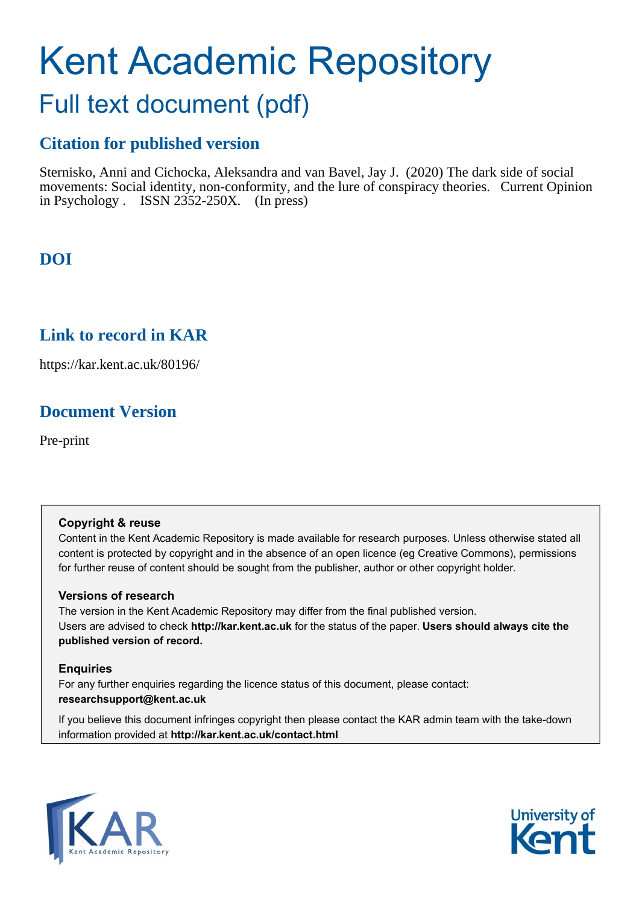# Kent Academic Repository

## Full text document (pdf)

## **Citation for published version**

Sternisko, Anni and Cichocka, Aleksandra and van Bavel, Jay J. (2020) The dark side of social movements: Social identity, non-conformity, and the lure of conspiracy theories. Current Opinion in Psychology . ISSN 2352-250X. (In press)

## **DOI**

## **Link to record in KAR**

https://kar.kent.ac.uk/80196/

## **Document Version**

Pre-print

#### **Copyright & reuse**

Content in the Kent Academic Repository is made available for research purposes. Unless otherwise stated all content is protected by copyright and in the absence of an open licence (eg Creative Commons), permissions for further reuse of content should be sought from the publisher, author or other copyright holder.

#### **Versions of research**

The version in the Kent Academic Repository may differ from the final published version. Users are advised to check **http://kar.kent.ac.uk** for the status of the paper. **Users should always cite the published version of record.**

#### **Enquiries**

For any further enquiries regarding the licence status of this document, please contact: **researchsupport@kent.ac.uk**

If you believe this document infringes copyright then please contact the KAR admin team with the take-down information provided at **http://kar.kent.ac.uk/contact.html**



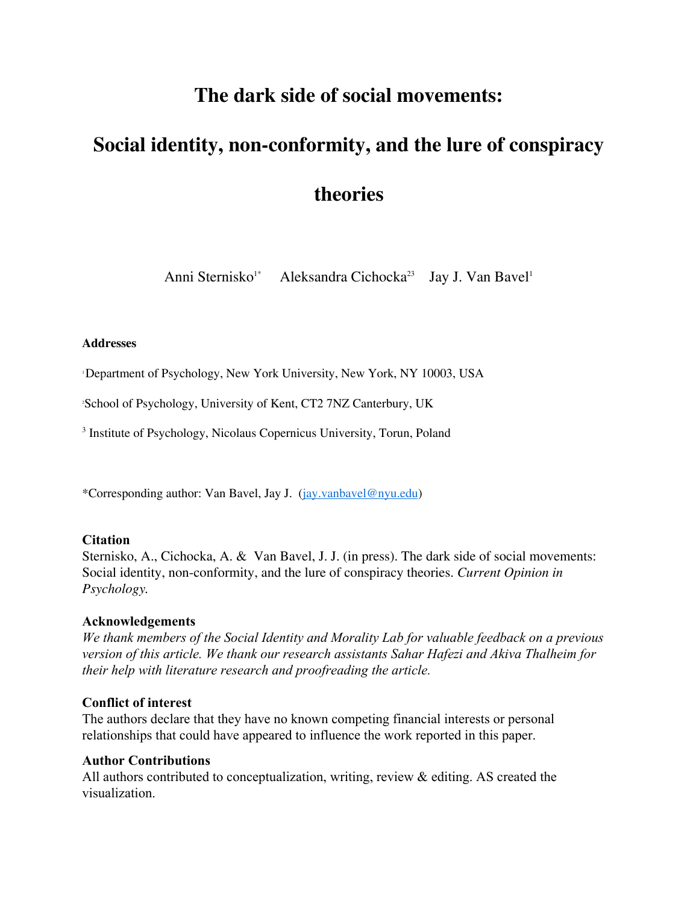## **The dark side of social movements:**

## **Social identity, non-conformity, and the lure of conspiracy**

## **theories**

Anni Sternisko  $1^*$  Aleksandra Cichocka<sup>23</sup> Jay J. Van Bavel<sup>1</sup>

#### **Addresses**

<sup>1</sup>Department of Psychology, New York University, New York, NY 10003, USA

<sup>2</sup>School of Psychology, University of Kent, CT2 7NZ Canterbury, UK

3 Institute of Psychology, Nicolaus Copernicus University, Torun, Poland

\*Corresponding author: Van Bavel, Jay J. (jay.vanbavel@nyu.edu)

#### **Citation**

Sternisko, A., Cichocka, A. & Van Bavel, J. J. (in press). The dark side of social movements: Social identity, non-conformity, and the lure of conspiracy theories. *Current Opinion in Psychology.*

#### **Acknowledgements**

*We thank members of the Social Identity and Morality Lab for valuable feedback on a previous version of this article. We thank our research assistants Sahar Hafezi and Akiva Thalheim for their help with literature research and proofreading the article.* 

#### **Conflict of interest**

The authors declare that they have no known competing financial interests or personal relationships that could have appeared to influence the work reported in this paper.

#### **Author Contributions**

All authors contributed to conceptualization, writing, review & editing. AS created the visualization.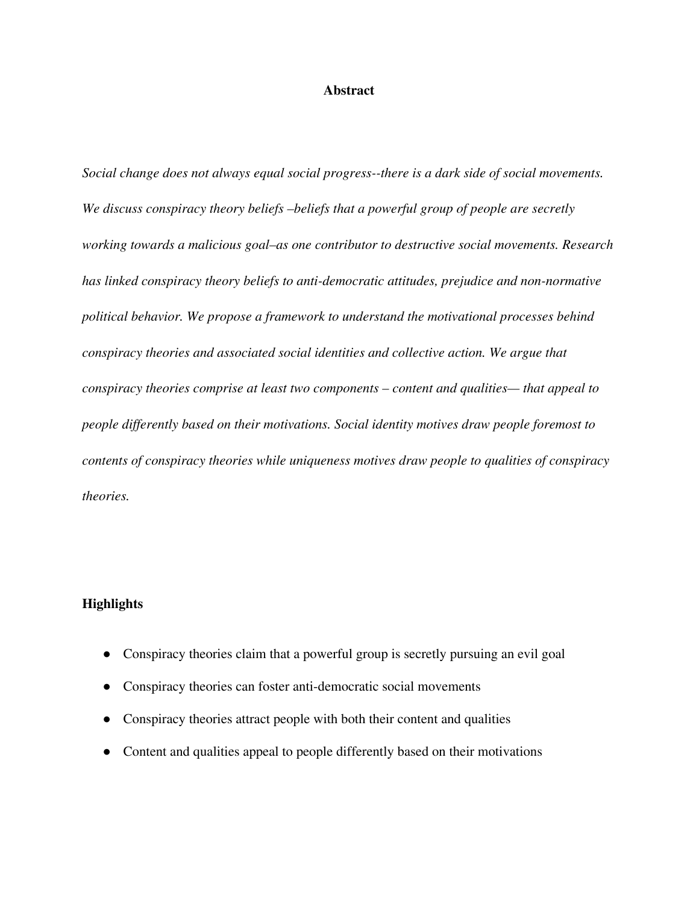#### **Abstract**

*Social change does not always equal social progress--there is a dark side of social movements. We discuss conspiracy theory beliefs –beliefs that a powerful group of people are secretly working towards a malicious goal–as one contributor to destructive social movements. Research has linked conspiracy theory beliefs to anti-democratic attitudes, prejudice and non-normative political behavior. We propose a framework to understand the motivational processes behind conspiracy theories and associated social identities and collective action. We argue that conspiracy theories comprise at least two components – content and qualities— that appeal to people dif erently based on their motivations. Social identity motives draw people foremost to contents of conspiracy theories while uniqueness motives draw people to qualities of conspiracy theories.*

#### **Highlights**

- Conspiracy theories claim that a powerful group is secretly pursuing an evil goal
- Conspiracy theories can foster anti-democratic social movements
- Conspiracy theories attract people with both their content and qualities
- Content and qualities appeal to people differently based on their motivations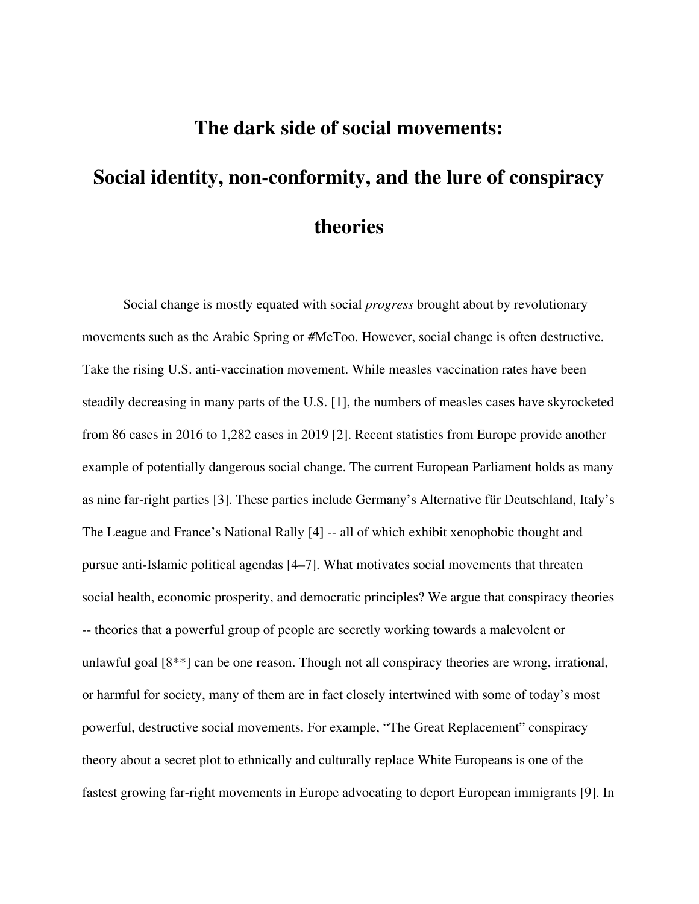### **The dark side of social movements:**

# **Social identity, non-conformity, and the lure of conspiracy theories**

Social change is mostly equated with social *progress* brought about by revolutionary movements such as the Arabic Spring or #MeToo. However, social change is often destructive. Take the rising U.S. anti-vaccination movement. While measles vaccination rates have been steadily decreasing in many parts of the U.S. [1], the numbers of measles cases have skyrocketed from 86 cases in 2016 to 1,282 cases in 2019 [2]. Recent statistics from Europe provide another example of potentially dangerous social change. The current European Parliament holds as many as nine far-right parties [3]. These parties include Germany's Alternative für Deutschland, Italy's The League and France's National Rally [4] -- all of which exhibit xenophobic thought and pursue anti-Islamic political agendas [4–7]. What motivates social movements that threaten social health, economic prosperity, and democratic principles? We argue that conspiracy theories -- theories that a powerful group of people are secretly working towards a malevolent or unlawful goal [8\*\*] can be one reason. Though not all conspiracy theories are wrong, irrational, or harmful for society, many of them are in fact closely intertwined with some of today's most powerful, destructive social movements. For example, "The Great Replacement" conspiracy theory about a secret plot to ethnically and culturally replace White Europeans is one of the fastest growing far-right movements in Europe advocating to deport European immigrants [9]. In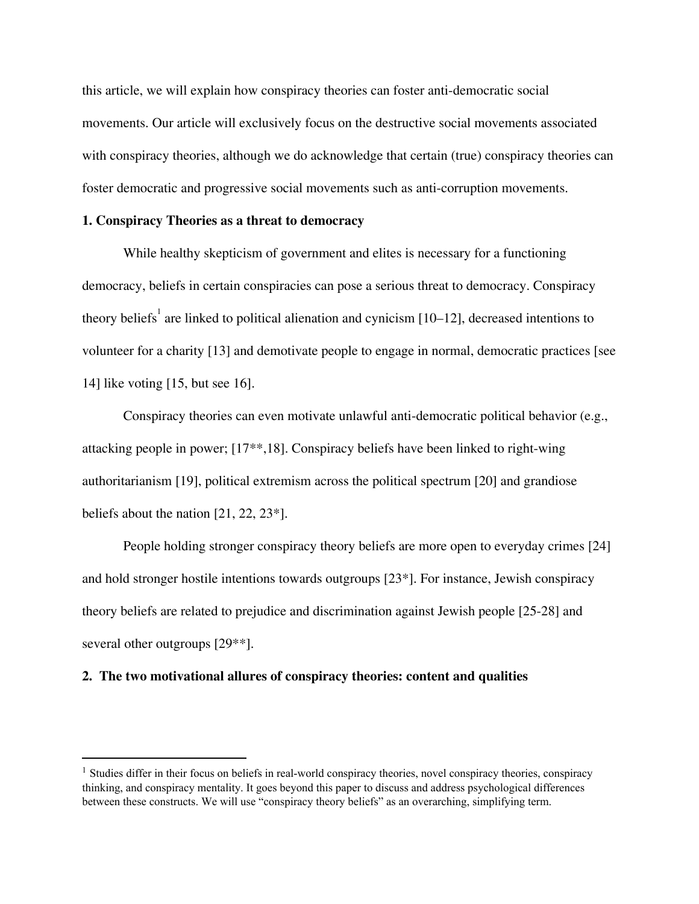this article, we will explain how conspiracy theories can foster anti-democratic social movements. Our article will exclusively focus on the destructive social movements associated with conspiracy theories, although we do acknowledge that certain (true) conspiracy theories can foster democratic and progressive social movements such as anti-corruption movements.

#### **1. Conspiracy Theories as a threat to democracy**

While healthy skepticism of government and elites is necessary for a functioning democracy, beliefs in certain conspiracies can pose a serious threat to democracy. Conspiracy theory beliefs<sup>1</sup> are linked to political alienation and cynicism  $[10-12]$ , decreased intentions to volunteer for a charity [13] and demotivate people to engage in normal, democratic practices [see 14] like voting [15, but see 16].

Conspiracy theories can even motivate unlawful anti-democratic political behavior (e.g., attacking people in power; [17\*\*,18]. Conspiracy beliefs have been linked to right-wing authoritarianism [19], political extremism across the political spectrum [20] and grandiose beliefs about the nation [21, 22, 23\*].

People holding stronger conspiracy theory beliefs are more open to everyday crimes [24] and hold stronger hostile intentions towards outgroups [23\*]. For instance, Jewish conspiracy theory beliefs are related to prejudice and discrimination against Jewish people [25-28] and several other outgroups [29\*\*].

#### **2. The two motivational allures of conspiracy theories: content and qualities**

<sup>&</sup>lt;sup>1</sup> Studies differ in their focus on beliefs in real-world conspiracy theories, novel conspiracy theories, conspiracy thinking, and conspiracy mentality. It goes beyond this paper to discuss and address psychological differences between these constructs. We will use "conspiracy theory beliefs" as an overarching, simplifying term.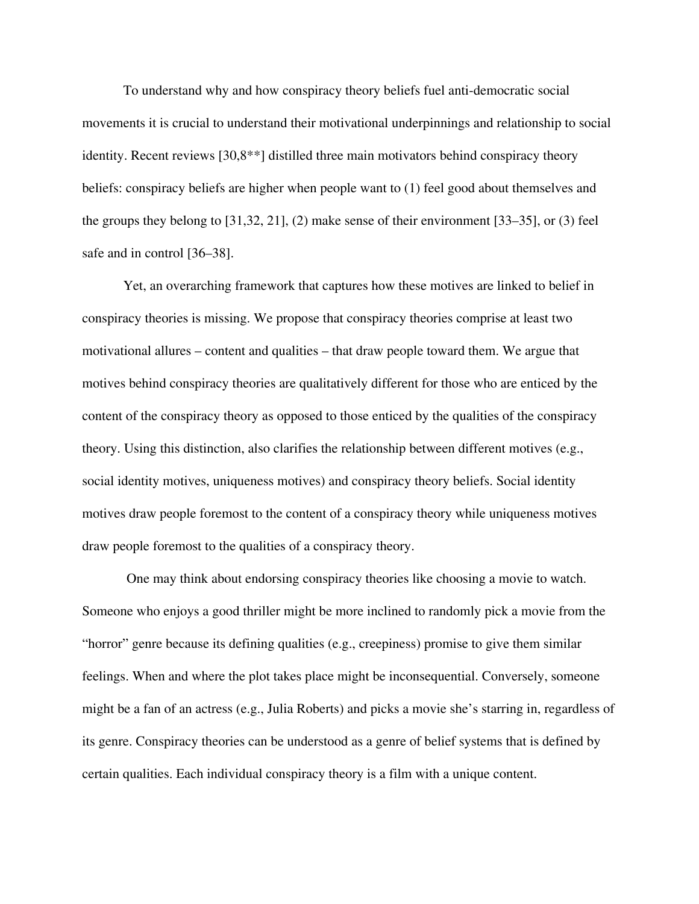To understand why and how conspiracy theory beliefs fuel anti-democratic social movements it is crucial to understand their motivational underpinnings and relationship to social identity. Recent reviews [30,8\*\*] distilled three main motivators behind conspiracy theory beliefs: conspiracy beliefs are higher when people want to (1) feel good about themselves and the groups they belong to [31,32, 21], (2) make sense of their environment [33–35], or (3) feel safe and in control [36–38].

Yet, an overarching framework that captures how these motives are linked to belief in conspiracy theories is missing. We propose that conspiracy theories comprise at least two motivational allures – content and qualities – that draw people toward them. We argue that motives behind conspiracy theories are qualitatively different for those who are enticed by the content of the conspiracy theory as opposed to those enticed by the qualities of the conspiracy theory. Using this distinction, also clarifies the relationship between different motives (e.g., social identity motives, uniqueness motives) and conspiracy theory beliefs. Social identity motives draw people foremost to the content of a conspiracy theory while uniqueness motives draw people foremost to the qualities of a conspiracy theory.

One may think about endorsing conspiracy theories like choosing a movie to watch. Someone who enjoys a good thriller might be more inclined to randomly pick a movie from the "horror" genre because its defining qualities (e.g., creepiness) promise to give them similar feelings. When and where the plot takes place might be inconsequential. Conversely, someone might be a fan of an actress (e.g., Julia Roberts) and picks a movie she's starring in, regardless of its genre. Conspiracy theories can be understood as a genre of belief systems that is defined by certain qualities. Each individual conspiracy theory is a film with a unique content.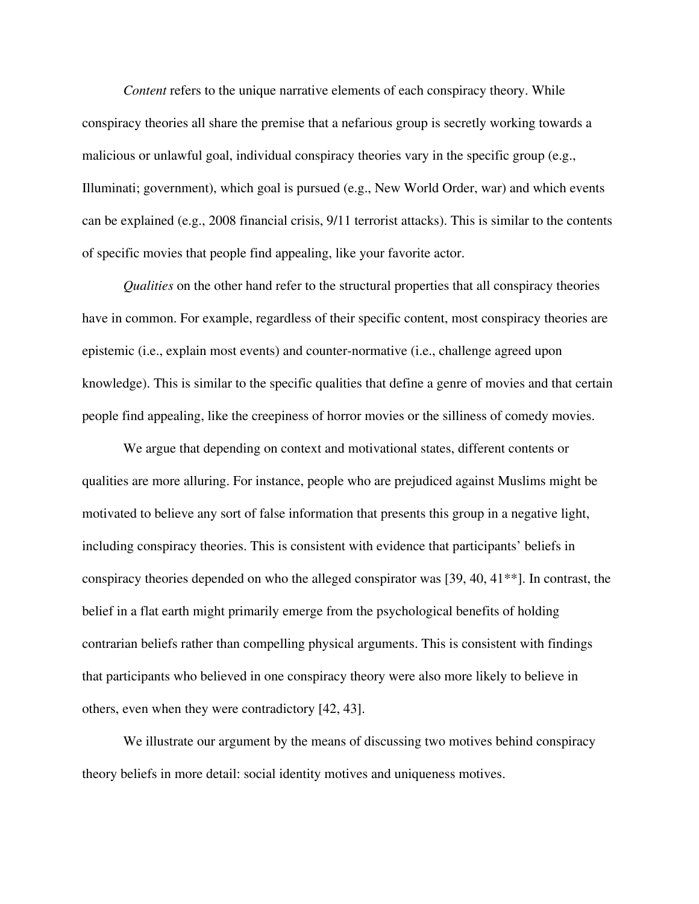*Content* refers to the unique narrative elements of each conspiracy theory. While conspiracy theories all share the premise that a nefarious group is secretly working towards a malicious or unlawful goal, individual conspiracy theories vary in the specific group (e.g., Illuminati; government), which goal is pursued (e.g., New World Order, war) and which events can be explained (e.g., 2008 financial crisis, 9/11 terrorist attacks). This is similar to the contents of specific movies that people find appealing, like your favorite actor.

*Qualities* on the other hand refer to the structural properties that all conspiracy theories have in common. For example, regardless of their specific content, most conspiracy theories are epistemic (i.e., explain most events) and counter-normative (i.e., challenge agreed upon knowledge). This is similar to the specific qualities that define a genre of movies and that certain people find appealing, like the creepiness of horror movies or the silliness of comedy movies.

We argue that depending on context and motivational states, different contents or qualities are more alluring. For instance, people who are prejudiced against Muslims might be motivated to believe any sort of false information that presents this group in a negative light, including conspiracy theories. This is consistent with evidence that participants' beliefs in conspiracy theories depended on who the alleged conspirator was [39, 40, 41\*\*]. In contrast, the belief in a flat earth might primarily emerge from the psychological benefits of holding contrarian beliefs rather than compelling physical arguments. This is consistent with findings that participants who believed in one conspiracy theory were also more likely to believe in others, even when they were contradictory [42, 43].

We illustrate our argument by the means of discussing two motives behind conspiracy theory beliefs in more detail: social identity motives and uniqueness motives.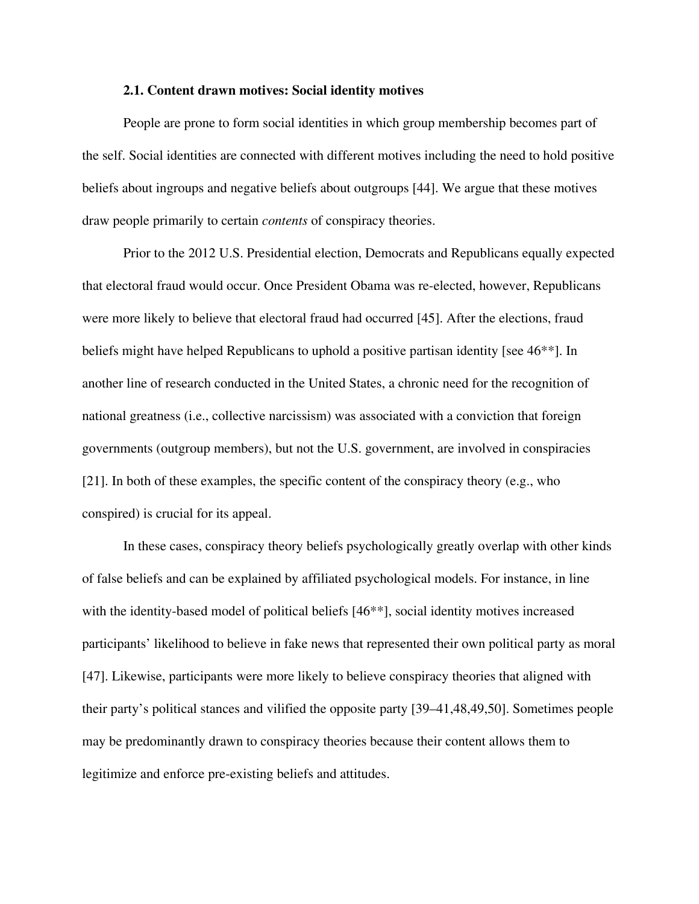#### **2.1. Content drawn motives: Social identity motives**

People are prone to form social identities in which group membership becomes part of the self. Social identities are connected with different motives including the need to hold positive beliefs about ingroups and negative beliefs about outgroups [44]. We argue that these motives draw people primarily to certain *contents* of conspiracy theories.

Prior to the 2012 U.S. Presidential election, Democrats and Republicans equally expected that electoral fraud would occur. Once President Obama was re-elected, however, Republicans were more likely to believe that electoral fraud had occurred [45]. After the elections, fraud beliefs might have helped Republicans to uphold a positive partisan identity [see 46\*\*]. In another line of research conducted in the United States, a chronic need for the recognition of national greatness (i.e., collective narcissism) was associated with a conviction that foreign governments (outgroup members), but not the U.S. government, are involved in conspiracies [21]. In both of these examples, the specific content of the conspiracy theory (e.g., who conspired) is crucial for its appeal.

In these cases, conspiracy theory beliefs psychologically greatly overlap with other kinds of false beliefs and can be explained by affiliated psychological models. For instance, in line with the identity-based model of political beliefs [46<sup>\*\*</sup>], social identity motives increased participants' likelihood to believe in fake news that represented their own political party as moral [47]. Likewise, participants were more likely to believe conspiracy theories that aligned with their party's political stances and vilified the opposite party [39–41,48,49,50]. Sometimes people may be predominantly drawn to conspiracy theories because their content allows them to legitimize and enforce pre-existing beliefs and attitudes.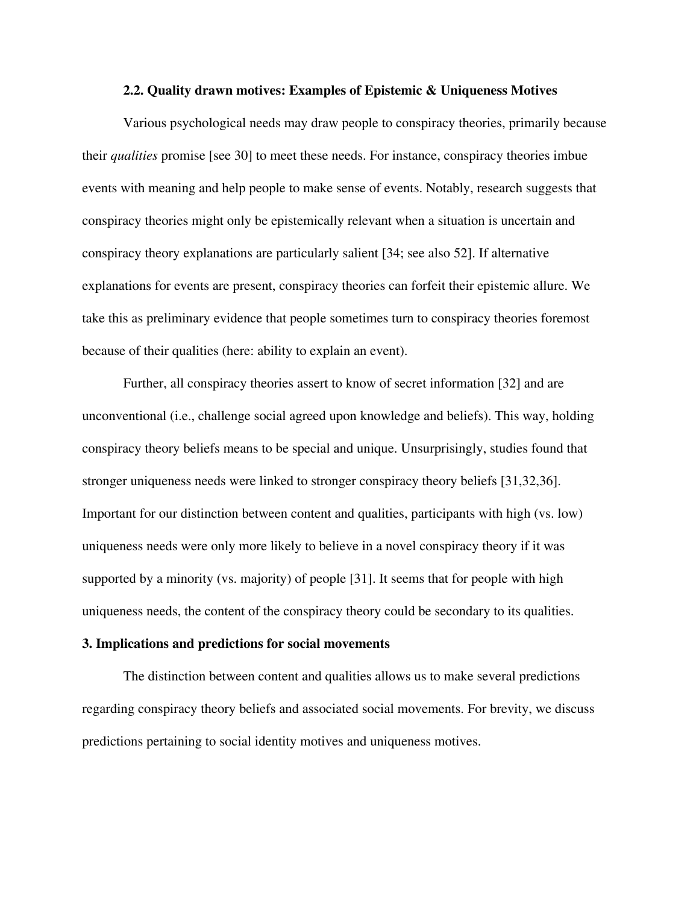#### **2.2. Quality drawn motives: Examples of Epistemic & Uniqueness Motives**

Various psychological needs may draw people to conspiracy theories, primarily because their *qualities* promise [see 30] to meet these needs. For instance, conspiracy theories imbue events with meaning and help people to make sense of events. Notably, research suggests that conspiracy theories might only be epistemically relevant when a situation is uncertain and conspiracy theory explanations are particularly salient [34; see also 52]. If alternative explanations for events are present, conspiracy theories can forfeit their epistemic allure. We take this as preliminary evidence that people sometimes turn to conspiracy theories foremost because of their qualities (here: ability to explain an event).

Further, all conspiracy theories assert to know of secret information [32] and are unconventional (i.e., challenge social agreed upon knowledge and beliefs). This way, holding conspiracy theory beliefs means to be special and unique. Unsurprisingly, studies found that stronger uniqueness needs were linked to stronger conspiracy theory beliefs [31,32,36]. Important for our distinction between content and qualities, participants with high (vs. low) uniqueness needs were only more likely to believe in a novel conspiracy theory if it was supported by a minority (vs. majority) of people [31]. It seems that for people with high uniqueness needs, the content of the conspiracy theory could be secondary to its qualities.

#### **3. Implications and predictions for social movements**

The distinction between content and qualities allows us to make several predictions regarding conspiracy theory beliefs and associated social movements. For brevity, we discuss predictions pertaining to social identity motives and uniqueness motives.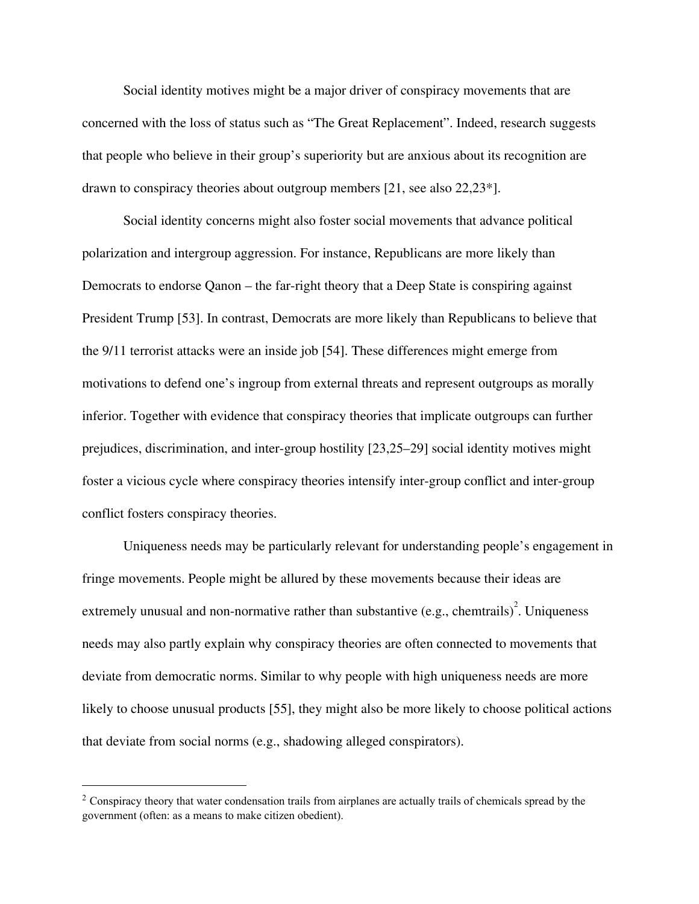Social identity motives might be a major driver of conspiracy movements that are concerned with the loss of status such as "The Great Replacement". Indeed, research suggests that people who believe in their group's superiority but are anxious about its recognition are drawn to conspiracy theories about outgroup members [21, see also 22,23\*].

Social identity concerns might also foster social movements that advance political polarization and intergroup aggression. For instance, Republicans are more likely than Democrats to endorse Qanon – the far-right theory that a Deep State is conspiring against President Trump [53]. In contrast, Democrats are more likely than Republicans to believe that the 9/11 terrorist attacks were an inside job [54]. These differences might emerge from motivations to defend one's ingroup from external threats and represent outgroups as morally inferior. Together with evidence that conspiracy theories that implicate outgroups can further prejudices, discrimination, and inter-group hostility [23,25–29] social identity motives might foster a vicious cycle where conspiracy theories intensify inter-group conflict and inter-group conflict fosters conspiracy theories.

Uniqueness needs may be particularly relevant for understanding people's engagement in fringe movements. People might be allured by these movements because their ideas are extremely unusual and non-normative rather than substantive (e.g., chemtrails)<sup>2</sup>. Uniqueness needs may also partly explain why conspiracy theories are often connected to movements that deviate from democratic norms. Similar to why people with high uniqueness needs are more likely to choose unusual products [55], they might also be more likely to choose political actions that deviate from social norms (e.g., shadowing alleged conspirators).

<sup>&</sup>lt;sup>2</sup> Conspiracy theory that water condensation trails from airplanes are actually trails of chemicals spread by the government (often: as a means to make citizen obedient).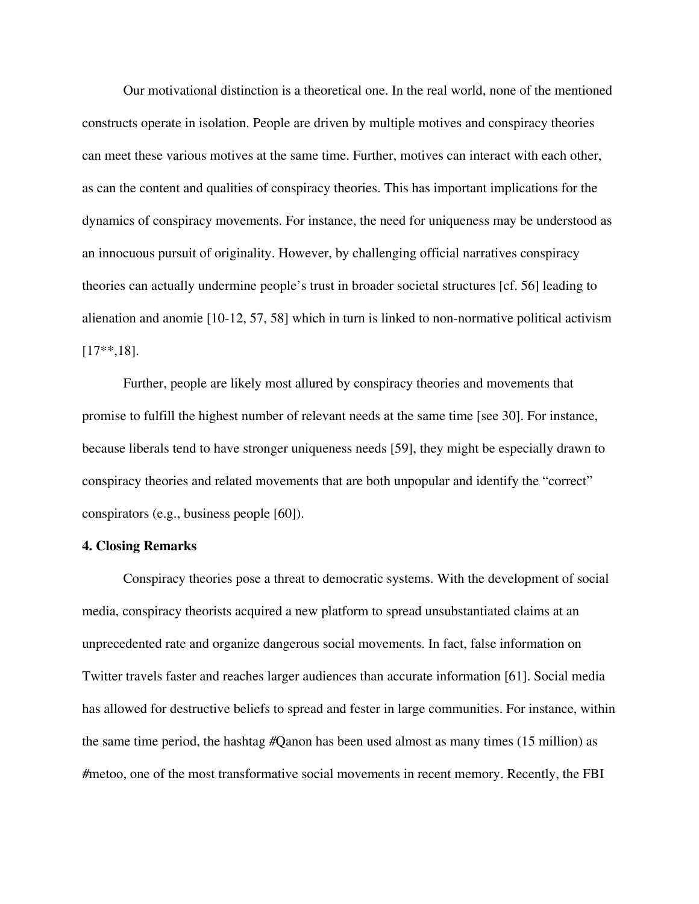Our motivational distinction is a theoretical one. In the real world, none of the mentioned constructs operate in isolation. People are driven by multiple motives and conspiracy theories can meet these various motives at the same time. Further, motives can interact with each other, as can the content and qualities of conspiracy theories. This has important implications for the dynamics of conspiracy movements. For instance, the need for uniqueness may be understood as an innocuous pursuit of originality. However, by challenging official narratives conspiracy theories can actually undermine people's trust in broader societal structures [cf. 56] leading to alienation and anomie [10-12, 57, 58] which in turn is linked to non-normative political activism [17\*\*,18].

Further, people are likely most allured by conspiracy theories and movements that promise to fulfill the highest number of relevant needs at the same time [see 30]. For instance, because liberals tend to have stronger uniqueness needs [59], they might be especially drawn to conspiracy theories and related movements that are both unpopular and identify the "correct" conspirators (e.g., business people [60]).

#### **4. Closing Remarks**

Conspiracy theories pose a threat to democratic systems. With the development of social media, conspiracy theorists acquired a new platform to spread unsubstantiated claims at an unprecedented rate and organize dangerous social movements. In fact, false information on Twitter travels faster and reaches larger audiences than accurate information [61]. Social media has allowed for destructive beliefs to spread and fester in large communities. For instance, within the same time period, the hashtag #Qanon has been used almost as many times (15 million) as #metoo, one of the most transformative social movements in recent memory. Recently, the FBI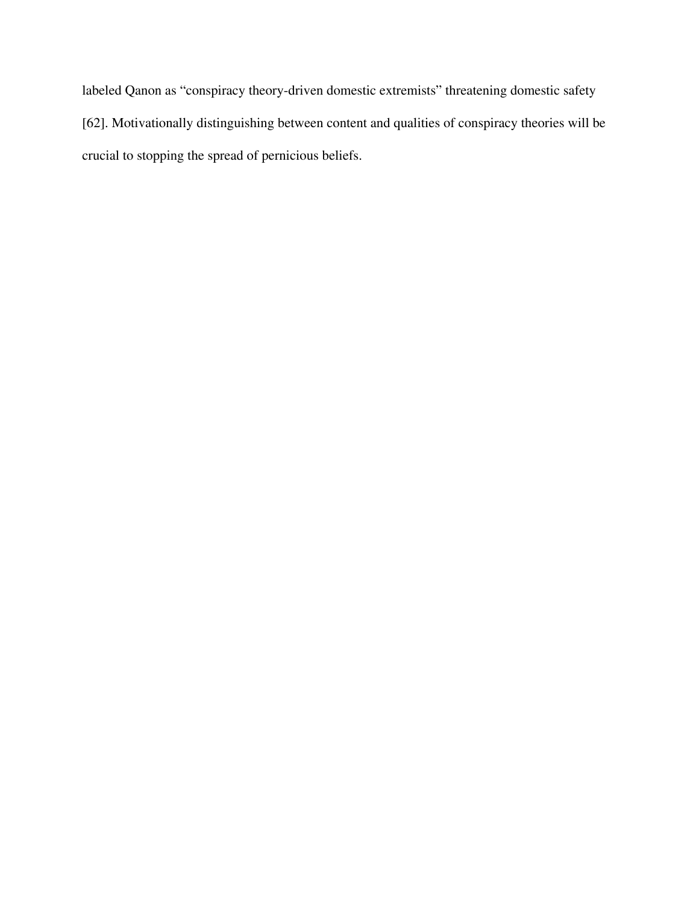labeled Qanon as "conspiracy theory-driven domestic extremists" threatening domestic safety [62]. Motivationally distinguishing between content and qualities of conspiracy theories will be crucial to stopping the spread of pernicious beliefs.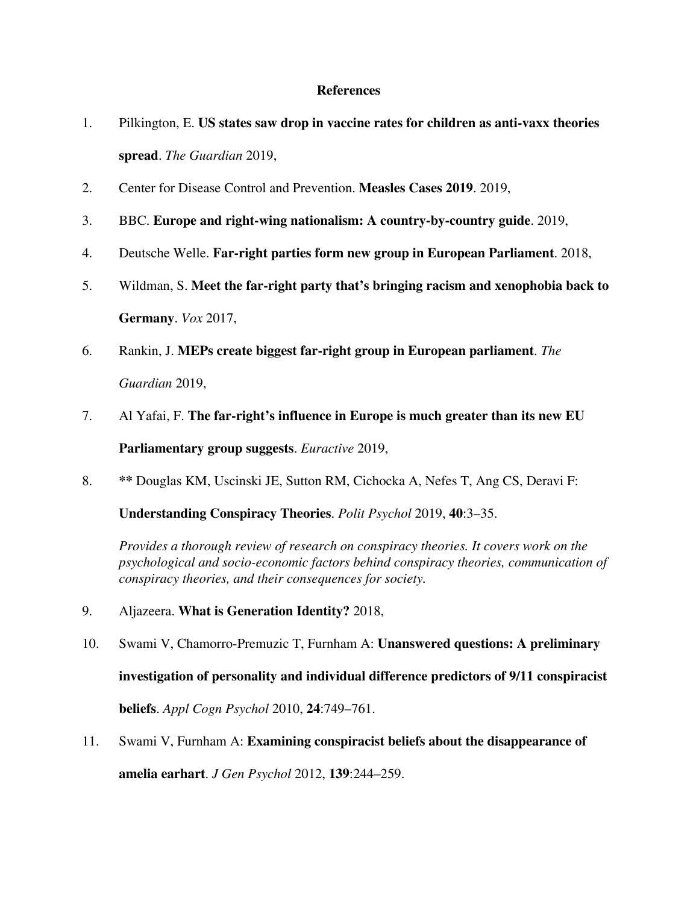#### **References**

- 1. Pilkington, E. **US states saw drop in vaccine rates for children as anti-vaxx theories spread**. *The Guardian* 2019,
- 2. Center for Disease Control and Prevention. **Measles Cases 2019**. 2019,
- 3. BBC. **Europe and right-wing nationalism: A country-by-country guide**. 2019,
- 4. Deutsche Welle. **Far-right parties form new group in European Parliament**. 2018,
- 5. Wildman, S. **Meet the far-right party that's bringing racism and xenophobia back to Germany**. *Vox* 2017,
- 6. Rankin, J. **MEPs create biggest far-right group in European parliament**. *The Guardian* 2019,
- 7. Al Yafai, F. **The far-right's influence in Europe is much greater than its new EU Parliamentary group suggests**. *Euractive* 2019,
- 8. **\*\*** Douglas KM, Uscinski JE, Sutton RM, Cichocka A, Nefes T, Ang CS, Deravi F:

**Understanding Conspiracy Theories**. *Polit Psychol* 2019, **40**:3–35.

*Provides a thorough review of research on conspiracy theories. It covers work on the psychological and socio-economic factors behind conspiracy theories, communication of conspiracy theories, and their consequences for society.*

- 9. Aljazeera. **What is Generation Identity?** 2018,
- 10. Swami V, Chamorro-Premuzic T, Furnham A: **Unanswered questions: A preliminary investigation of personality and individual difference predictors of 9/11 conspiracist beliefs**. *Appl Cogn Psychol* 2010, **24**:749–761.
- 11. Swami V, Furnham A: **Examining conspiracist beliefs about the disappearance of amelia earhart**. *J Gen Psychol* 2012, **139**:244–259.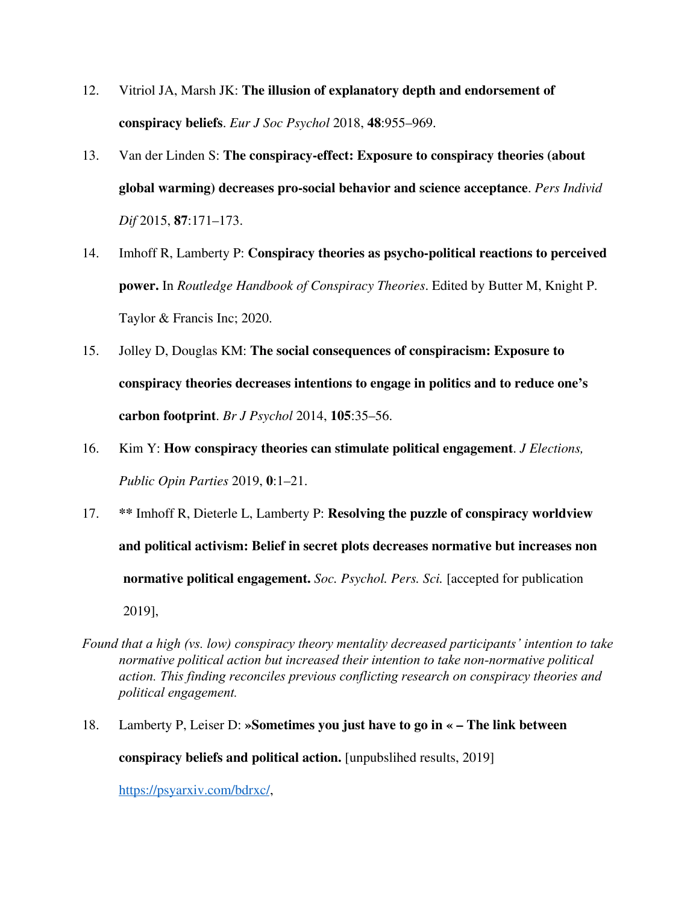- 12. Vitriol JA, Marsh JK: **The illusion of explanatory depth and endorsement of conspiracy beliefs**. *Eur J Soc Psychol* 2018, **48**:955–969.
- 13. Van der Linden S: **The conspiracy-effect: Exposure to conspiracy theories (about global warming) decreases pro-social behavior and science acceptance**. *Pers Individ Dif* 2015, **87**:171–173.
- 14. Imhoff R, Lamberty P: **Conspiracy theories as psycho-political reactions to perceived power.** In *Routledge Handbook of Conspiracy Theories*. Edited by Butter M, Knight P. Taylor & Francis Inc; 2020.
- 15. Jolley D, Douglas KM: **The social consequences of conspiracism: Exposure to conspiracy theories decreases intentions to engage in politics and to reduce one's carbon footprint**. *Br J Psychol* 2014, **105**:35–56.
- 16. Kim Y: **How conspiracy theories can stimulate political engagement**. *J Elections, Public Opin Parties* 2019, **0**:1–21.
- 17. **\*\*** Imhoff R, Dieterle L, Lamberty P: **Resolving the puzzle of conspiracy worldview and political activism: Belief in secret plots decreases normative but increases non normative political engagement.** *Soc. Psychol. Pers. Sci.* [accepted for publication 2019],
- *Found that a high (vs. low) conspiracy theory mentality decreased participants' intention to take normative political action but increased their intention to take non-normative political action. This finding reconciles previous conflicting research on conspiracy theories and political engagement.*
- 18. Lamberty P, Leiser D: **»Sometimes you just have to go in « The link between conspiracy beliefs and political action.** [unpubslihed results, 2019]

[https://psyarxiv.com/bdrxc/](https://psyarxiv.co/),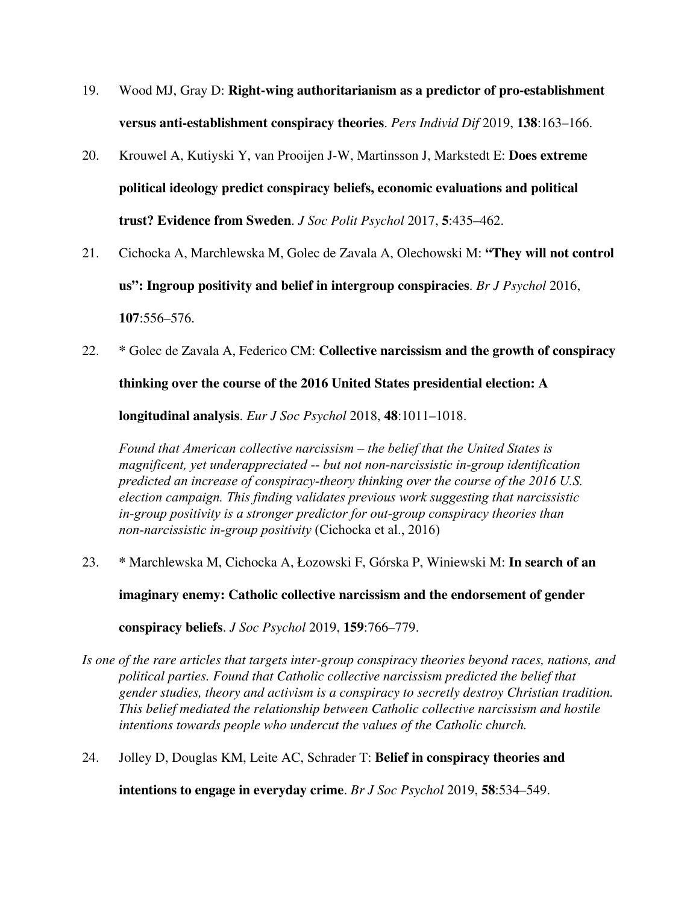- 19. Wood MJ, Gray D: **Right-wing authoritarianism as a predictor of pro-establishment versus anti-establishment conspiracy theories**. *Pers Individ Dif* 2019, **138**:163–166.
- 20. Krouwel A, Kutiyski Y, van Prooijen J-W, Martinsson J, Markstedt E: **Does extreme political ideology predict conspiracy beliefs, economic evaluations and political trust? Evidence from Sweden**. *J Soc Polit Psychol* 2017, **5**:435–462.
- 21. Cichocka A, Marchlewska M, Golec de Zavala A, Olechowski M: **"They will not control us": Ingroup positivity and belief in intergroup conspiracies**. *Br J Psychol* 2016, **107**:556–576.
- 22. **\*** Golec de Zavala A, Federico CM: **Collective narcissism and the growth of conspiracy thinking over the course of the 2016 United States presidential election: A**

**longitudinal analysis**. *Eur J Soc Psychol* 2018, **48**:1011–1018.

*Found that American collective narcissism – the belief that the United States is magnificent, yet underappreciated -- but not non-narcissistic in-group identification predicted an increase of conspiracy-theory thinking over the course of the 2016 U.S. election campaign. This finding validates previous work suggesting that narcissistic in-group positivity is a stronger predictor for out-group conspiracy theories than non-narcissistic in-group positivity* (Cichocka et al., 2016)

23. **\*** Marchlewska M, Cichocka A, Łozowski F, Górska P, Winiewski M: **In search of an**

**imaginary enemy: Catholic collective narcissism and the endorsement of gender**

**conspiracy beliefs**. *J Soc Psychol* 2019, **159**:766–779.

- *Is one of the rare articles that targets inter-group conspiracy theories beyond races, nations, and political parties. Found that Catholic collective narcissism predicted the belief that gender studies, theory and activism is a conspiracy to secretly destroy Christian tradition. This belief mediated the relationship between Catholic collective narcissism and hostile intentions towards people who undercut the values of the Catholic church.*
- 24. Jolley D, Douglas KM, Leite AC, Schrader T: **Belief in conspiracy theories and**

**intentions to engage in everyday crime**. *Br J Soc Psychol* 2019, **58**:534–549.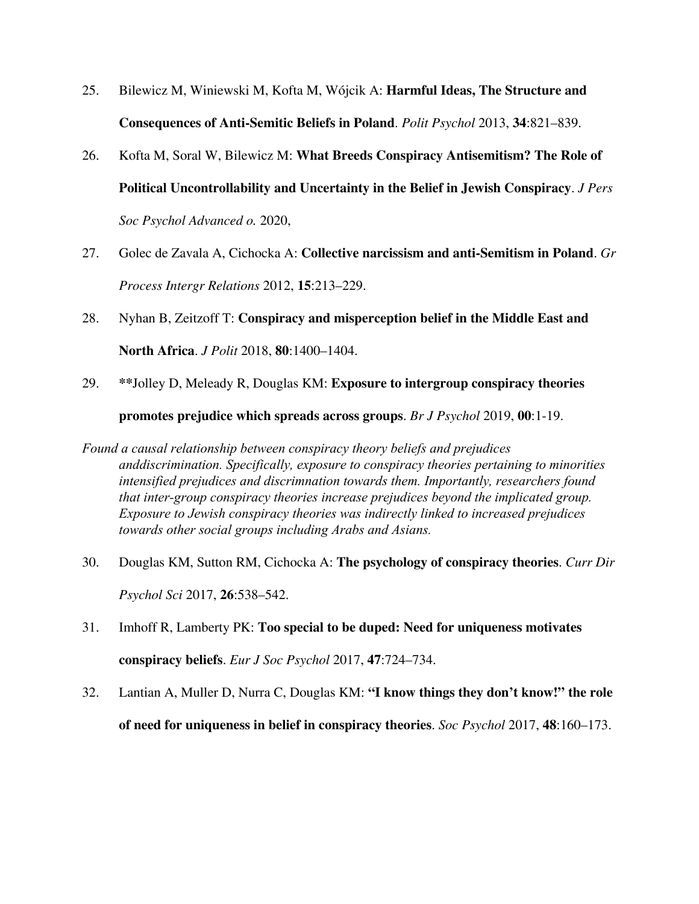- 25. Bilewicz M, Winiewski M, Kofta M, Wójcik A: **Harmful Ideas, The Structure and Consequences of Anti-Semitic Beliefs in Poland**. *Polit Psychol* 2013, **34**:821–839.
- 26. Kofta M, Soral W, Bilewicz M: **What Breeds Conspiracy Antisemitism? The Role of Political Uncontrollability and Uncertainty in the Belief in Jewish Conspiracy**. *J Pers Soc Psychol Advanced o.* 2020,
- 27. Golec de Zavala A, Cichocka A: **Collective narcissism and anti-Semitism in Poland**. *Gr Process Intergr Relations* 2012, **15**:213–229.
- 28. Nyhan B, Zeitzoff T: **Conspiracy and misperception belief in the Middle East and North Africa**. *J Polit* 2018, **80**:1400–1404.
- 29. **\*\***Jolley D, Meleady R, Douglas KM: **Exposure to intergroup conspiracy theories promotes prejudice which spreads across groups**. *Br J Psychol* 2019, **00**:1-19.
- *Found a causal relationship between conspiracy theory beliefs and prejudices anddiscrimination. Specifically, exposure to conspiracy theories pertaining to minorities intensified prejudices and discrimnation towards them. Importantly, researchers found that inter-group conspiracy theories increase prejudices beyond the implicated group. Exposure to Jewish conspiracy theories was indirectly linked to increased prejudices towards other social groups including Arabs and Asians.*
- 30. Douglas KM, Sutton RM, Cichocka A: **The psychology of conspiracy theories**. *Curr Dir Psychol Sci* 2017, **26**:538–542.
- 31. Imhoff R, Lamberty PK: **Too special to be duped: Need for uniqueness motivates conspiracy beliefs**. *Eur J Soc Psychol* 2017, **47**:724–734.
- 32. Lantian A, Muller D, Nurra C, Douglas KM: **"I know things they don't know!" the role of need for uniqueness in belief in conspiracy theories**. *Soc Psychol* 2017, **48**:160–173.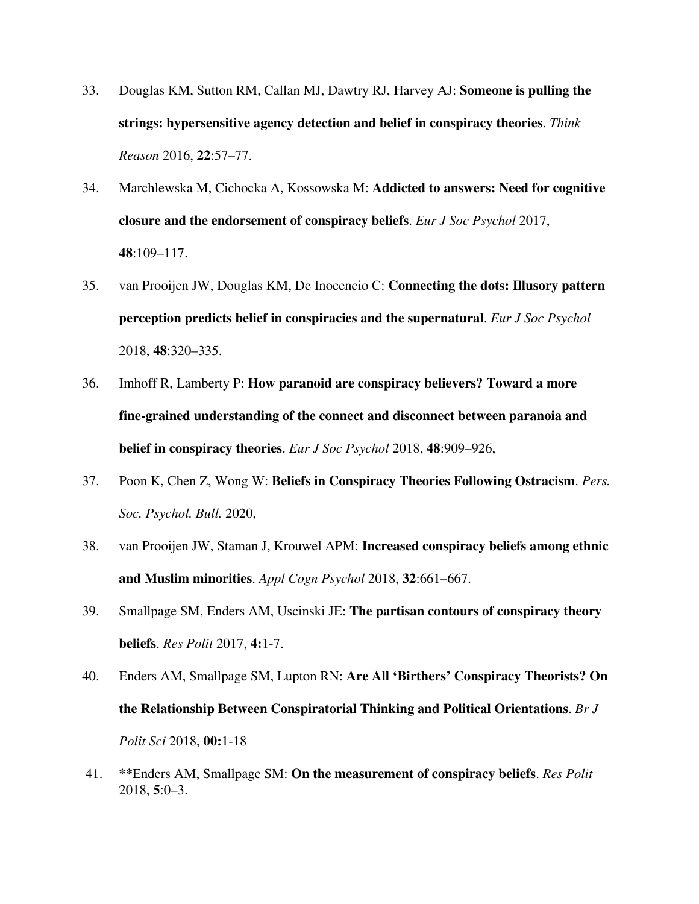- 33. Douglas KM, Sutton RM, Callan MJ, Dawtry RJ, Harvey AJ: **Someone is pulling the strings: hypersensitive agency detection and belief in conspiracy theories**. *Think Reason* 2016, **22**:57–77.
- 34. Marchlewska M, Cichocka A, Kossowska M: **Addicted to answers: Need for cognitive closure and the endorsement of conspiracy beliefs**. *Eur J Soc Psychol* 2017, **48**:109–117.
- 35. van Prooijen JW, Douglas KM, De Inocencio C: **Connecting the dots: Illusory pattern perception predicts belief in conspiracies and the supernatural**. *Eur J Soc Psychol* 2018, **48**:320–335.
- 36. Imhoff R, Lamberty P: **How paranoid are conspiracy believers? Toward a more fine-grained understanding of the connect and disconnect between paranoia and belief in conspiracy theories**. *Eur J Soc Psychol* 2018, **48**:909–926,
- 37. Poon K, Chen Z, Wong W: **Beliefs in Conspiracy Theories Following Ostracism**. *Pers. Soc. Psychol. Bull.* 2020,
- 38. van Prooijen JW, Staman J, Krouwel APM: **Increased conspiracy beliefs among ethnic and Muslim minorities**. *Appl Cogn Psychol* 2018, **32**:661–667.
- 39. Smallpage SM, Enders AM, Uscinski JE: **The partisan contours of conspiracy theory beliefs**. *Res Polit* 2017, **4:**1-7.
- 40. Enders AM, Smallpage SM, Lupton RN: **Are All 'Birthers' Conspiracy Theorists? On the Relationship Between Conspiratorial Thinking and Political Orientations**. *Br J Polit Sci* 2018, **00:**1-18
- 41. **\*\***Enders AM, Smallpage SM: **On the measurement of conspiracy beliefs**. *Res Polit* 2018, **5**:0–3.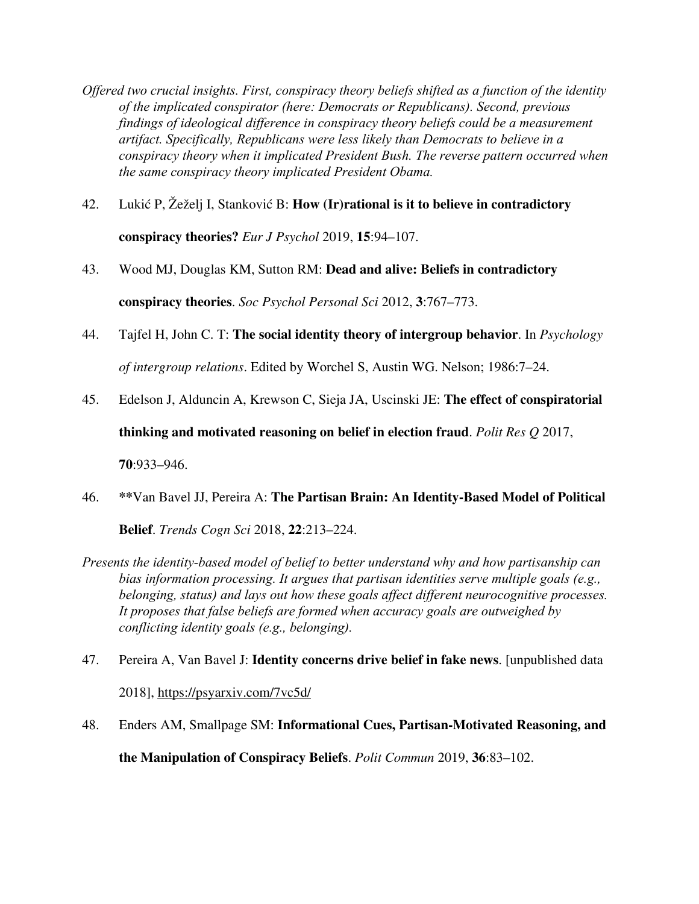- *Offered two crucial insights. First, conspiracy theory beliefs shifted as a function of the identity of the implicated conspirator (here: Democrats or Republicans). Second, previous findings of ideological difference in conspiracy theory beliefs could be a measurement artifact. Specifically, Republicans were less likely than Democrats to believe in a conspiracy theory when it implicated President Bush. The reverse pattern occurred when the same conspiracy theory implicated President Obama.*
- 42. Lukić P, Žeželj I, Stanković B: **How (Ir)rational is it to believe in contradictory conspiracy theories?** *Eur J Psychol* 2019, **15**:94–107.
- 43. Wood MJ, Douglas KM, Sutton RM: **Dead and alive: Beliefs in contradictory conspiracy theories**. *Soc Psychol Personal Sci* 2012, **3**:767–773.
- 44. Tajfel H, John C. T: **The social identity theory of intergroup behavior**. In *Psychology of intergroup relations*. Edited by Worchel S, Austin WG. Nelson; 1986:7–24.
- 45. Edelson J, Alduncin A, Krewson C, Sieja JA, Uscinski JE: **The effect of conspiratorial**

**thinking and motivated reasoning on belief in election fraud**. *Polit Res Q* 2017,

**70**:933–946.

- 46. **\*\***Van Bavel JJ, Pereira A: **The Partisan Brain: An Identity-Based Model of Political Belief**. *Trends Cogn Sci* 2018, **22**:213–224.
- *Presents the identity-based model of belief to better understand why and how partisanship can bias information processing. It argues that partisan identities serve multiple goals (e.g., belonging, status) and lays out how these goals affect different neurocognitive processes. It proposes that false beliefs are formed when accuracy goals are outweighed by conflicting identity goals (e.g., belonging).*
- 47. Pereira A, Van Bavel J: **Identity concerns drive belief in fake news**. [unpublished data 2018], <https://psyarxiv.com/7vc5d/>
- 48. Enders AM, Smallpage SM: **Informational Cues, Partisan-Motivated Reasoning, and the Manipulation of Conspiracy Beliefs**. *Polit Commun* 2019, **36**:83–102.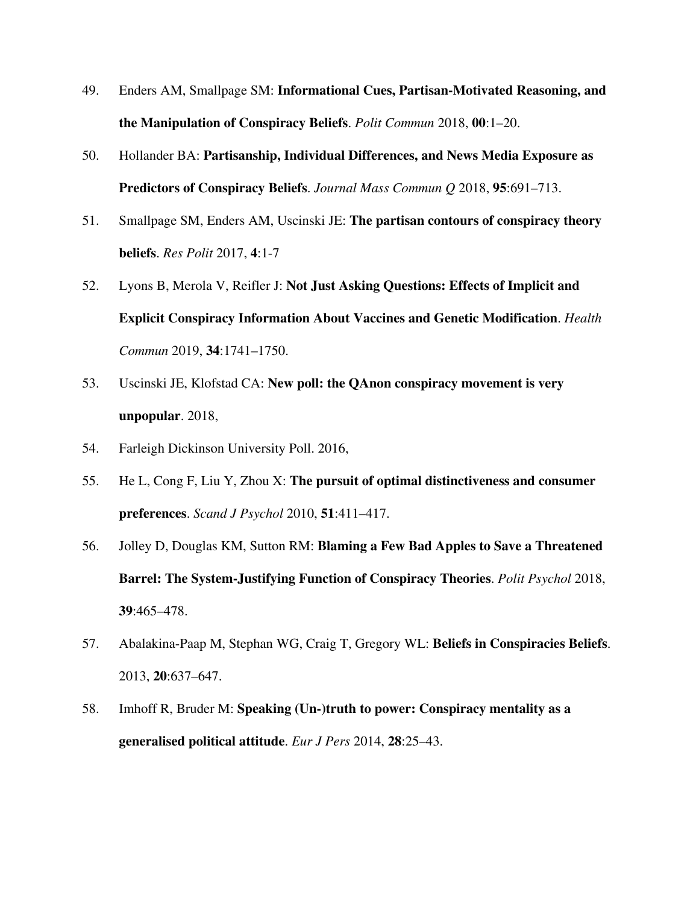- 49. Enders AM, Smallpage SM: **Informational Cues, Partisan-Motivated Reasoning, and the Manipulation of Conspiracy Beliefs**. *Polit Commun* 2018, **00**:1–20.
- 50. Hollander BA: **Partisanship, Individual Differences, and News Media Exposure as Predictors of Conspiracy Beliefs**. *Journal Mass Commun Q* 2018, **95**:691–713.
- 51. Smallpage SM, Enders AM, Uscinski JE: **The partisan contours of conspiracy theory beliefs**. *Res Polit* 2017, **4**:1-7
- 52. Lyons B, Merola V, Reifler J: **Not Just Asking Questions: Effects of Implicit and Explicit Conspiracy Information About Vaccines and Genetic Modification**. *Health Commun* 2019, **34**:1741–1750.
- 53. Uscinski JE, Klofstad CA: **New poll: the QAnon conspiracy movement is very unpopular**. 2018,
- 54. Farleigh Dickinson University Poll. 2016,
- 55. He L, Cong F, Liu Y, Zhou X: **The pursuit of optimal distinctiveness and consumer preferences**. *Scand J Psychol* 2010, **51**:411–417.
- 56. Jolley D, Douglas KM, Sutton RM: **Blaming a Few Bad Apples to Save a Threatened Barrel: The System-Justifying Function of Conspiracy Theories**. *Polit Psychol* 2018, **39**:465–478.
- 57. Abalakina-Paap M, Stephan WG, Craig T, Gregory WL: **Beliefs in Conspiracies Beliefs**. 2013, **20**:637–647.
- 58. Imhoff R, Bruder M: **Speaking (Un-)truth to power: Conspiracy mentality as a generalised political attitude**. *Eur J Pers* 2014, **28**:25–43.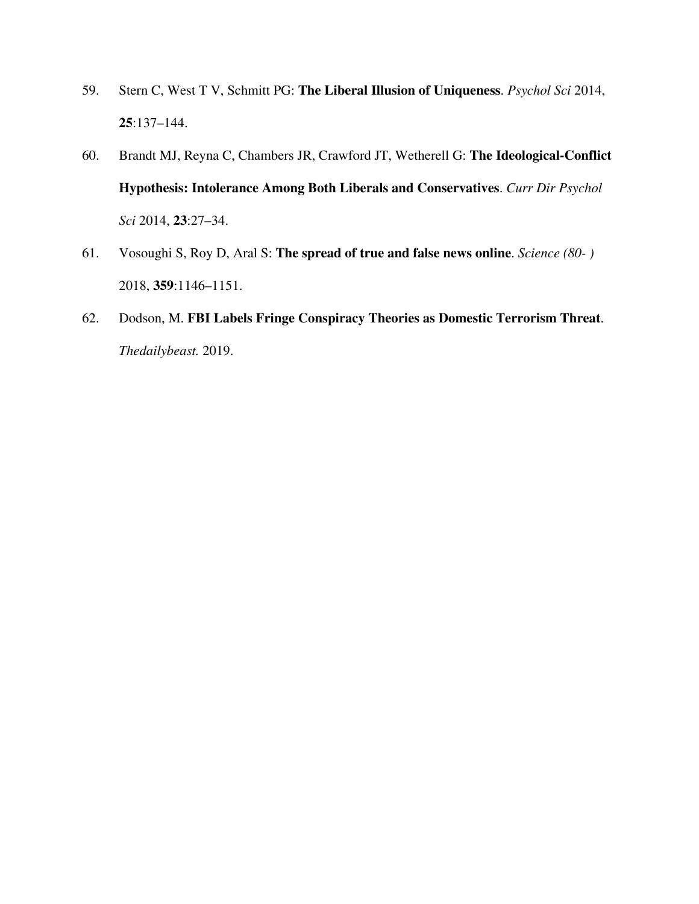- 59. Stern C, West T V, Schmitt PG: **The Liberal Illusion of Uniqueness**. *Psychol Sci* 2014, **25**:137–144.
- 60. Brandt MJ, Reyna C, Chambers JR, Crawford JT, Wetherell G: **The Ideological-Conflict Hypothesis: Intolerance Among Both Liberals and Conservatives**. *Curr Dir Psychol Sci* 2014, **23**:27–34.
- 61. Vosoughi S, Roy D, Aral S: **The spread of true and false news online**. *Science (80- )* 2018, **359**:1146–1151.
- 62. Dodson, M. **FBI Labels Fringe Conspiracy Theories as Domestic Terrorism Threat**. *Thedailybeast.* 2019.